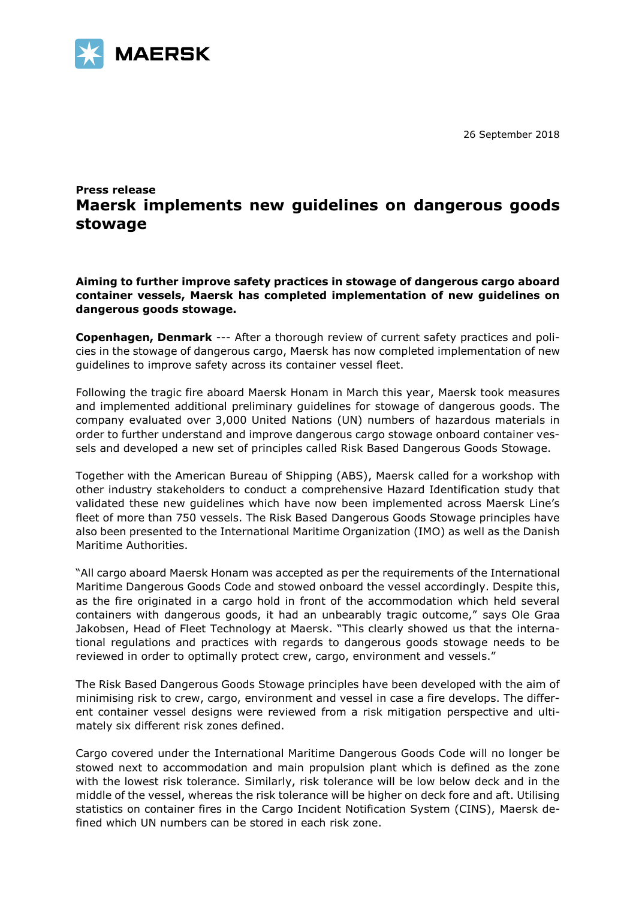

26 September 2018

## **Press release Maersk implements new guidelines on dangerous goods stowage**

**Aiming to further improve safety practices in stowage of dangerous cargo aboard container vessels, Maersk has completed implementation of new guidelines on dangerous goods stowage.**

**Copenhagen, Denmark** --- After a thorough review of current safety practices and policies in the stowage of dangerous cargo, Maersk has now completed implementation of new guidelines to improve safety across its container vessel fleet.

Following the tragic fire aboard Maersk Honam in March this year, Maersk took measures and implemented additional preliminary guidelines for stowage of dangerous goods. The company evaluated over 3,000 United Nations (UN) numbers of hazardous materials in order to further understand and improve dangerous cargo stowage onboard container vessels and developed a new set of principles called Risk Based Dangerous Goods Stowage.

Together with the American Bureau of Shipping (ABS), Maersk called for a workshop with other industry stakeholders to conduct a comprehensive Hazard Identification study that validated these new guidelines which have now been implemented across Maersk Line's fleet of more than 750 vessels. The Risk Based Dangerous Goods Stowage principles have also been presented to the International Maritime Organization (IMO) as well as the Danish Maritime Authorities.

"All cargo aboard Maersk Honam was accepted as per the requirements of the International Maritime Dangerous Goods Code and stowed onboard the vessel accordingly. Despite this, as the fire originated in a cargo hold in front of the accommodation which held several containers with dangerous goods, it had an unbearably tragic outcome," says Ole Graa Jakobsen, Head of Fleet Technology at Maersk. "This clearly showed us that the international regulations and practices with regards to dangerous goods stowage needs to be reviewed in order to optimally protect crew, cargo, environment and vessels."

The Risk Based Dangerous Goods Stowage principles have been developed with the aim of minimising risk to crew, cargo, environment and vessel in case a fire develops. The different container vessel designs were reviewed from a risk mitigation perspective and ultimately six different risk zones defined.

Cargo covered under the International Maritime Dangerous Goods Code will no longer be stowed next to accommodation and main propulsion plant which is defined as the zone with the lowest risk tolerance. Similarly, risk tolerance will be low below deck and in the middle of the vessel, whereas the risk tolerance will be higher on deck fore and aft. Utilising statistics on container fires in the Cargo Incident Notification System (CINS), Maersk defined which UN numbers can be stored in each risk zone.